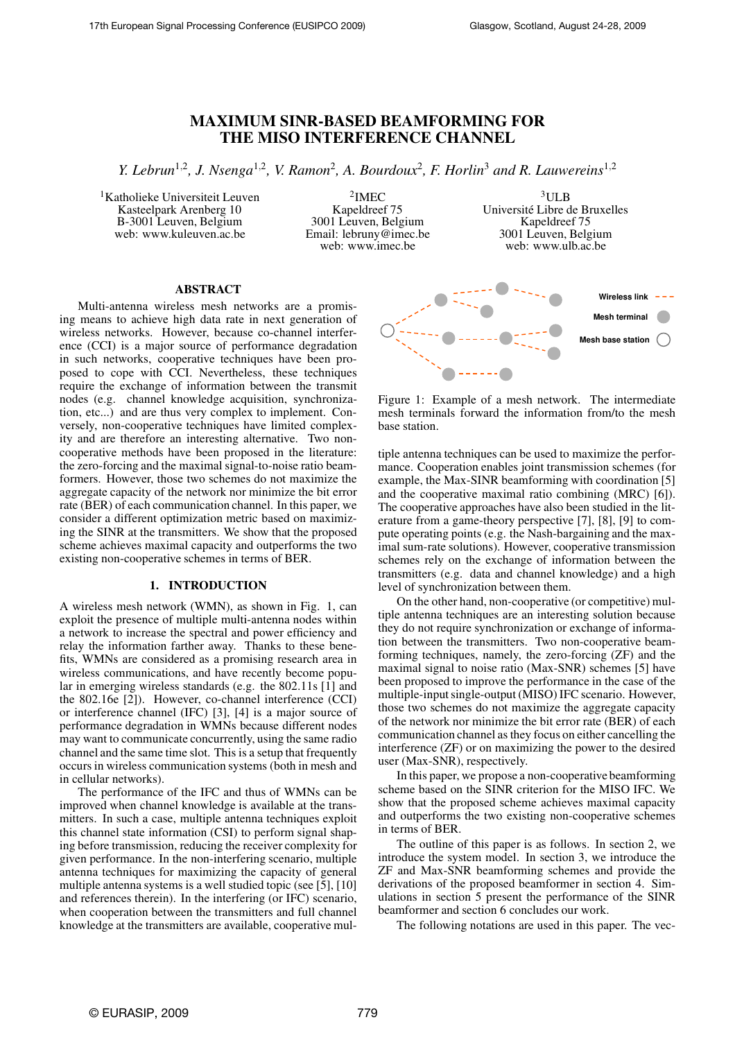# **MAXIMUM SINR-BASED BEAMFORMING FOR THE MISO INTERFERENCE CHANNEL**

*Y. Lebrun*<sup>1</sup>,<sup>2</sup> *, J. Nsenga*<sup>1</sup>,<sup>2</sup> *, V. Ramon*<sup>2</sup> *, A. Bourdoux*<sup>2</sup> *, F. Horlin*<sup>3</sup> *and R. Lauwereins*<sup>1</sup>,<sup>2</sup>

<sup>1</sup>Katholieke Universiteit Leuven Kasteelpark Arenberg 10 B-3001 Leuven, Belgium web: www.kuleuven.ac.be

2 IMEC Kapeldreef 75 3001 Leuven, Belgium Email: lebruny@imec.be web: www.imec.be

 $3$ ULB Université Libre de Bruxelles Kapeldreef 75 3001 Leuven, Belgium web: www.ulb.ac.be

# **ABSTRACT**

Multi-antenna wireless mesh networks are a promising means to achieve high data rate in next generation of wireless networks. However, because co-channel interference (CCI) is a major source of performance degradation in such networks, cooperative techniques have been proposed to cope with CCI. Nevertheless, these techniques require the exchange of information between the transmit nodes (e.g. channel knowledge acquisition, synchronization, etc...) and are thus very complex to implement. Conversely, non-cooperative techniques have limited complexity and are therefore an interesting alternative. Two noncooperative methods have been proposed in the literature: the zero-forcing and the maximal signal-to-noise ratio beamformers. However, those two schemes do not maximize the aggregate capacity of the network nor minimize the bit error rate (BER) of each communication channel. In this paper, we consider a different optimization metric based on maximizing the SINR at the transmitters. We show that the proposed scheme achieves maximal capacity and outperforms the two existing non-cooperative schemes in terms of BER.

# **1. INTRODUCTION**

A wireless mesh network (WMN), as shown in Fig. 1, can exploit the presence of multiple multi-antenna nodes within a network to increase the spectral and power efficiency and relay the information farther away. Thanks to these benefits, WMNs are considered as a promising research area in wireless communications, and have recently become popular in emerging wireless standards (e.g. the 802.11s [1] and the 802.16e [2]). However, co-channel interference (CCI) or interference channel (IFC) [3], [4] is a major source of performance degradation in WMNs because different nodes may want to communicate concurrently, using the same radio channel and the same time slot. This is a setup that frequently occurs in wireless communication systems (both in mesh and in cellular networks).

The performance of the IFC and thus of WMNs can be improved when channel knowledge is available at the transmitters. In such a case, multiple antenna techniques exploit this channel state information (CSI) to perform signal shaping before transmission, reducing the receiver complexity for given performance. In the non-interfering scenario, multiple antenna techniques for maximizing the capacity of general multiple antenna systems is a well studied topic (see [5], [10] and references therein). In the interfering (or IFC) scenario, when cooperation between the transmitters and full channel knowledge at the transmitters are available, cooperative mul-



Figure 1: Example of a mesh network. The intermediate mesh terminals forward the information from/to the mesh base station.

tiple antenna techniques can be used to maximize the performance. Cooperation enables joint transmission schemes (for example, the Max-SINR beamforming with coordination [5] and the cooperative maximal ratio combining (MRC) [6]). The cooperative approaches have also been studied in the literature from a game-theory perspective [7], [8], [9] to compute operating points (e.g. the Nash-bargaining and the maximal sum-rate solutions). However, cooperative transmission schemes rely on the exchange of information between the transmitters (e.g. data and channel knowledge) and a high level of synchronization between them.

On the other hand, non-cooperative (or competitive) multiple antenna techniques are an interesting solution because they do not require synchronization or exchange of information between the transmitters. Two non-cooperative beamforming techniques, namely, the zero-forcing (ZF) and the maximal signal to noise ratio (Max-SNR) schemes [5] have been proposed to improve the performance in the case of the multiple-inputsingle-output (MISO) IFC scenario. However, those two schemes do not maximize the aggregate capacity of the network nor minimize the bit error rate (BER) of each communication channel as they focus on either cancelling the interference (ZF) or on maximizing the power to the desired user (Max-SNR), respectively.

In this paper, we propose a non-cooperative beamforming scheme based on the SINR criterion for the MISO IFC. We show that the proposed scheme achieves maximal capacity and outperforms the two existing non-cooperative schemes in terms of BER.

The outline of this paper is as follows. In section 2, we introduce the system model. In section 3, we introduce the ZF and Max-SNR beamforming schemes and provide the derivations of the proposed beamformer in section 4. Simulations in section 5 present the performance of the SINR beamformer and section 6 concludes our work.

The following notations are used in this paper. The vec-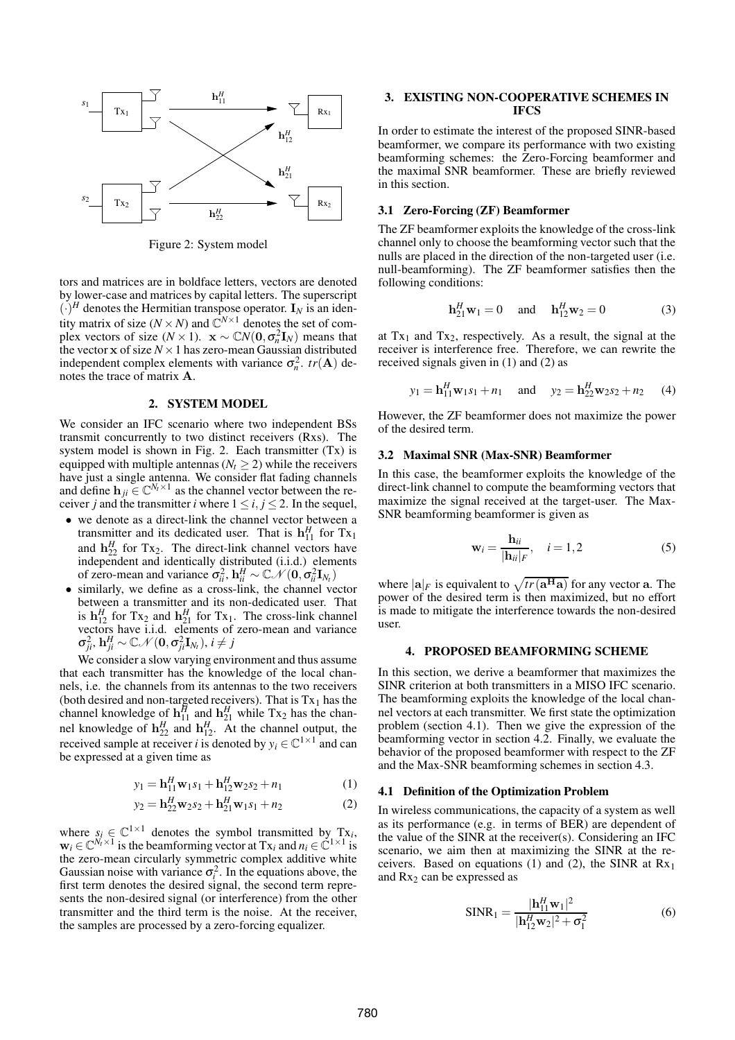

Figure 2: System model

tors and matrices are in boldface letters, vectors are denoted by lower-case and matrices by capital letters. The superscript  $(\cdot)^H$  denotes the Hermitian transpose operator. I<sub>N</sub> is an identity matrix of size ( $N \times N$ ) and  $\mathbb{C}^{N \times 1}$  denotes the set of complex vectors of size ( $N \times 1$ ).  $\mathbf{x} \sim \mathbb{C}N(\mathbf{0}, \sigma_n^2 \mathbf{I}_N)$  means that the vector  $x$  of size  $N \times 1$  has zero-mean Gaussian distributed independent complex elements with variance  $\sigma_n^2$ .  $tr(\mathbf{A})$  denotes the trace of matrix A.

## **2. SYSTEM MODEL**

We consider an IFC scenario where two independent BSs transmit concurrently to two distinct receivers (Rxs). The system model is shown in Fig. 2. Each transmitter (Tx) is equipped with multiple antennas ( $N_t \geq 2$ ) while the receivers have just a single antenna. We consider flat fading channels and define  $\mathbf{h}_{ji} \in \mathbb{C}^{N_t \times 1}$  as the channel vector between the receiver *j* and the transmitter *i* where  $1 \le i, j \le 2$ . In the sequel,

- we denote as a direct-link the channel vector between a transmitter and its dedicated user. That is  $\mathbf{h}_{11}^H$  for  $Tx_1$ and  $\mathbf{h}_{22}^H$  for Tx<sub>2</sub>. The direct-link channel vectors have independent and identically distributed (i.i.d.) elements of zero-mean and variance  $\sigma_{ii}^2$ ,  $\mathbf{h}_{ii}^H \sim \mathbb{C} \mathcal{N}(\mathbf{0}, \sigma_{ii}^2 \mathbf{I}_{N_t})$
- similarly, we define as a cross-link, the channel vector between a transmitter and its non-dedicated user. That is  $\mathbf{h}_{12}^H$  for Tx<sub>2</sub> and  $\mathbf{h}_{21}^H$  for Tx<sub>1</sub>. The cross-link channel vectors have i.i.d. elements of zero-mean and variance  $\sigma_{ji}^2$ ,  $\mathbf{h}_{ji}^H \sim \mathbb{C} \mathcal{N}(\mathbf{0}, \sigma_{ji}^2 \mathbf{I}_{N_t}), i \neq j$

We consider a slow varying environment and thus assume that each transmitter has the knowledge of the local channels, i.e. the channels from its antennas to the two receivers (both desired and non-targeted receivers). That is  $Tx_1$  has the channel knowledge of  $\mathbf{h}_{11}^H$  and  $\mathbf{h}_{21}^H$  while Tx<sub>2</sub> has the channel knowledge of  $\mathbf{h}_{22}^H$  and  $\mathbf{h}_{12}^H$ . At the channel output, the received sample at receiver *i* is denoted by  $y_i \in \mathbb{C}^{1 \times 1}$  and can be expressed at a given time as

$$
y_1 = \mathbf{h}_{11}^H \mathbf{w}_1 s_1 + \mathbf{h}_{12}^H \mathbf{w}_2 s_2 + n_1 \tag{1}
$$

$$
y_2 = \mathbf{h}_{22}^H \mathbf{w}_2 s_2 + \mathbf{h}_{21}^H \mathbf{w}_1 s_1 + n_2 \tag{2}
$$

where  $s_i \in \mathbb{C}^{1 \times 1}$  denotes the symbol transmitted by Tx<sub>*i*</sub>,  $\mathbf{w}_i \in \mathbb{C}^{N_t \times 1}$  is the beamforming vector at  $Tx_i$  and  $n_i \in \mathbb{C}^{1 \times 1}$  is the zero-mean circularly symmetric complex additive white Gaussian noise with variance  $\sigma_i^2$ . In the equations above, the first term denotes the desired signal, the second term represents the non-desired signal (or interference) from the other transmitter and the third term is the noise. At the receiver, the samples are processed by a zero-forcing equalizer.

# **3. EXISTING NON-COOPERATIVE SCHEMES IN IFCS**

In order to estimate the interest of the proposed SINR-based beamformer, we compare its performance with two existing beamforming schemes: the Zero-Forcing beamformer and the maximal SNR beamformer. These are briefly reviewed in this section.

## **3.1 Zero-Forcing (ZF) Beamformer**

The ZF beamformer exploits the knowledge of the cross-link channel only to choose the beamforming vector such that the nulls are placed in the direction of the non-targeted user (i.e. null-beamforming). The ZF beamformer satisfies then the following conditions:

$$
\mathbf{h}_{21}^H \mathbf{w}_1 = 0 \quad \text{and} \quad \mathbf{h}_{12}^H \mathbf{w}_2 = 0 \tag{3}
$$

at  $Tx_1$  and  $Tx_2$ , respectively. As a result, the signal at the receiver is interference free. Therefore, we can rewrite the received signals given in (1) and (2) as

$$
y_1 = \mathbf{h}_{11}^H \mathbf{w}_1 s_1 + n_1
$$
 and  $y_2 = \mathbf{h}_{22}^H \mathbf{w}_2 s_2 + n_2$  (4)

However, the ZF beamformer does not maximize the power of the desired term.

## **3.2 Maximal SNR (Max-SNR) Beamformer**

In this case, the beamformer exploits the knowledge of the direct-link channel to compute the beamforming vectors that maximize the signal received at the target-user. The Max-SNR beamforming beamformer is given as

$$
\mathbf{w}_{i} = \frac{\mathbf{h}_{ii}}{|\mathbf{h}_{ii}|_{F}}, \quad i = 1, 2
$$
 (5)

where  $|\mathbf{a}|_F$  is equivalent to  $\sqrt{tr(\mathbf{a}^H\mathbf{a})}$  for any vector **a**. The power of the desired term is then maximized, but no effort is made to mitigate the interference towards the non-desired user.

#### **4. PROPOSED BEAMFORMING SCHEME**

In this section, we derive a beamformer that maximizes the SINR criterion at both transmitters in a MISO IFC scenario. The beamforming exploits the knowledge of the local channel vectors at each transmitter. We first state the optimization problem (section 4.1). Then we give the expression of the beamforming vector in section 4.2. Finally, we evaluate the behavior of the proposed beamformer with respect to the ZF and the Max-SNR beamforming schemes in section 4.3.

#### **4.1 Definition of the Optimization Problem**

In wireless communications, the capacity of a system as well as its performance (e.g. in terms of BER) are dependent of the value of the SINR at the receiver(s). Considering an IFC scenario, we aim then at maximizing the SINR at the receivers. Based on equations (1) and (2), the SINR at  $Rx_1$ and  $Rx_2$  can be expressed as

$$
SINR_1 = \frac{|\mathbf{h}_{11}^H \mathbf{w}_1|^2}{|\mathbf{h}_{12}^H \mathbf{w}_2|^2 + \sigma_1^2}
$$
(6)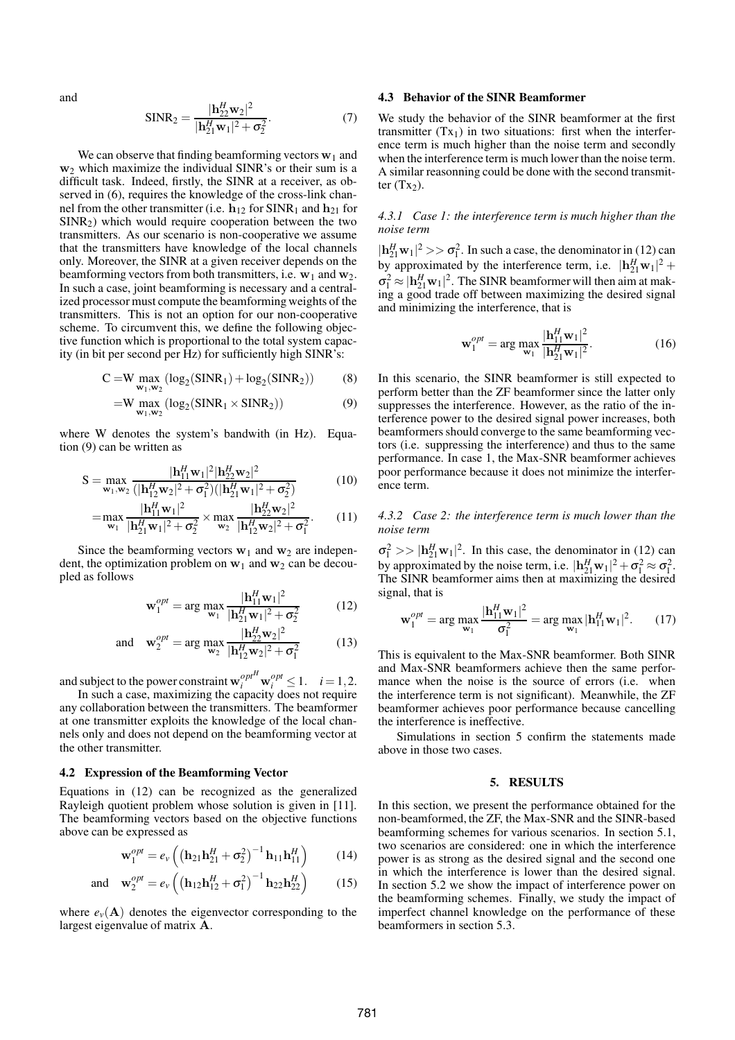and

$$
SINR_2 = \frac{|\mathbf{h}_{22}^H \mathbf{w}_2|^2}{|\mathbf{h}_{21}^H \mathbf{w}_1|^2 + \sigma_2^2}.
$$
 (7)

We can observe that finding beamforming vectors  $w_1$  and  $w<sub>2</sub>$  which maximize the individual SINR's or their sum is a difficult task. Indeed, firstly, the SINR at a receiver, as observed in (6), requires the knowledge of the cross-link channel from the other transmitter (i.e.  $h_{12}$  for SINR<sub>1</sub> and  $h_{21}$  for  $SINR<sub>2</sub>$ ) which would require cooperation between the two transmitters. As our scenario is non-cooperative we assume that the transmitters have knowledge of the local channels only. Moreover, the SINR at a given receiver depends on the beamforming vectors from both transmitters, i.e.  $w_1$  and  $w_2$ . In such a case, joint beamforming is necessary and a centralized processor must compute the beamforming weights of the transmitters. This is not an option for our non-cooperative scheme. To circumvent this, we define the following objective function which is proportional to the total system capacity (in bit per second per Hz) for sufficiently high SINR's:

$$
C = W \max_{\mathbf{w}_1, \mathbf{w}_2} (\log_2(SINR_1) + \log_2(SINR_2))
$$
 (8)

$$
=W\max_{\mathbf{w}_1,\mathbf{w}_2}(\log_2(SINR_1\times SINR_2))\tag{9}
$$

where W denotes the system's bandwith (in Hz). Equation (9) can be written as

$$
S = \max_{\mathbf{w}_1, \mathbf{w}_2} \frac{|\mathbf{h}_{11}^H \mathbf{w}_1|^2 |\mathbf{h}_{22}^H \mathbf{w}_2|^2}{(|\mathbf{h}_{12}^H \mathbf{w}_2|^2 + \sigma_1^2)(|\mathbf{h}_{21}^H \mathbf{w}_1|^2 + \sigma_2^2)}
$$
(10)

$$
= \max_{\mathbf{w}_1} \frac{|\mathbf{h}_{11}^H \mathbf{w}_1|^2}{|\mathbf{h}_{21}^H \mathbf{w}_1|^2 + \sigma_2^2} \times \max_{\mathbf{w}_2} \frac{|\mathbf{h}_{22}^H \mathbf{w}_2|^2}{|\mathbf{h}_{12}^H \mathbf{w}_2|^2 + \sigma_1^2}.
$$
 (11)

Since the beamforming vectors  $w_1$  and  $w_2$  are independent, the optimization problem on  $w_1$  and  $w_2$  can be decoupled as follows

$$
\mathbf{w}_{1}^{opt} = \arg \max_{\mathbf{w}_{1}} \frac{|\mathbf{h}_{11}^{H} \mathbf{w}_{1}|^{2}}{|\mathbf{h}_{21}^{H} \mathbf{w}_{1}|^{2} + \sigma_{2}^{2}}
$$
(12)

and 
$$
\mathbf{w}_2^{opt} = \arg \max_{\mathbf{w}_2} \frac{|\mathbf{h}_{22}^H \mathbf{w}_2|^2}{|\mathbf{h}_{12}^H \mathbf{w}_2|^2 + \sigma_1^2}
$$
 (13)

and subject to the power constraint  $\mathbf{w}_i^{opt} \mathbf{w}_i^{opt} \leq 1$ .  $i = 1, 2$ .

In such a case, maximizing the capacity does not require any collaboration between the transmitters. The beamformer at one transmitter exploits the knowledge of the local channels only and does not depend on the beamforming vector at the other transmitter.

## **4.2 Expression of the Beamforming Vector**

Equations in (12) can be recognized as the generalized Rayleigh quotient problem whose solution is given in [11]. The beamforming vectors based on the objective functions above can be expressed as

$$
\mathbf{w}_1^{opt} = e_v \left( \left( \mathbf{h}_{21} \mathbf{h}_{21}^H + \sigma_2^2 \right)^{-1} \mathbf{h}_{11} \mathbf{h}_{11}^H \right) \tag{14}
$$

and 
$$
\mathbf{w}_2^{opt} = e_v \left( \left( \mathbf{h}_{12} \mathbf{h}_{12}^H + \sigma_1^2 \right)^{-1} \mathbf{h}_{22} \mathbf{h}_{22}^H \right)
$$
 (15)

where  $e_v(A)$  denotes the eigenvector corresponding to the largest eigenvalue of matrix A.

## **4.3 Behavior of the SINR Beamformer**

We study the behavior of the SINR beamformer at the first transmitter  $(Tx_1)$  in two situations: first when the interference term is much higher than the noise term and secondly when the interference term is much lower than the noise term. A similar reasonning could be done with the second transmitter  $(Tx<sub>2</sub>)$ .

## *4.3.1 Case 1: the interference term is much higher than the noise term*

 $|\mathbf{h}_{21}^H \mathbf{w}_1|^2 >> \sigma_1^2$ . In such a case, the denominator in (12) can by approximated by the interference term, i.e.  $|\mathbf{h}_{21}^H \mathbf{w}_1|^2$  +  $\sigma_1^2 \approx |\mathbf{h}_{21}^H \mathbf{w}_1|^2$ . The SINR beamformer will then aim at making a good trade off between maximizing the desired signal and minimizing the interference, that is

$$
\mathbf{w}_{1}^{opt} = \arg \max_{\mathbf{w}_{1}} \frac{|\mathbf{h}_{11}^{H} \mathbf{w}_{1}|^{2}}{|\mathbf{h}_{21}^{H} \mathbf{w}_{1}|^{2}}.
$$
 (16)

In this scenario, the SINR beamformer is still expected to perform better than the ZF beamformer since the latter only suppresses the interference. However, as the ratio of the interference power to the desired signal power increases, both beamformers should converge to the same beamforming vectors (i.e. suppressing the interference) and thus to the same performance. In case 1, the Max-SNR beamformer achieves poor performance because it does not minimize the interference term.

*4.3.2 Case 2: the interference term is much lower than the noise term*

 $\sigma_1^2 >> |h_{21}^H w_1|^2$ . In this case, the denominator in (12) can by approximated by the noise term, i.e.  $|\mathbf{h}_{21}^H \mathbf{w}_1|^2 + \sigma_1^2 \approx \sigma_1^2$ . The SINR beamformer aims then at maximizing the desired signal, that is

$$
\mathbf{w}_{1}^{opt} = \arg \max_{\mathbf{w}_{1}} \frac{|\mathbf{h}_{11}^{H} \mathbf{w}_{1}|^{2}}{\sigma_{1}^{2}} = \arg \max_{\mathbf{w}_{1}} |\mathbf{h}_{11}^{H} \mathbf{w}_{1}|^{2}.
$$
 (17)

This is equivalent to the Max-SNR beamformer. Both SINR and Max-SNR beamformers achieve then the same performance when the noise is the source of errors (i.e. when the interference term is not significant). Meanwhile, the ZF beamformer achieves poor performance because cancelling the interference is ineffective.

Simulations in section 5 confirm the statements made above in those two cases.

## **5. RESULTS**

In this section, we present the performance obtained for the non-beamformed, the ZF, the Max-SNR and the SINR-based beamforming schemes for various scenarios. In section 5.1, two scenarios are considered: one in which the interference power is as strong as the desired signal and the second one in which the interference is lower than the desired signal. In section 5.2 we show the impact of interference power on the beamforming schemes. Finally, we study the impact of imperfect channel knowledge on the performance of these beamformers in section 5.3.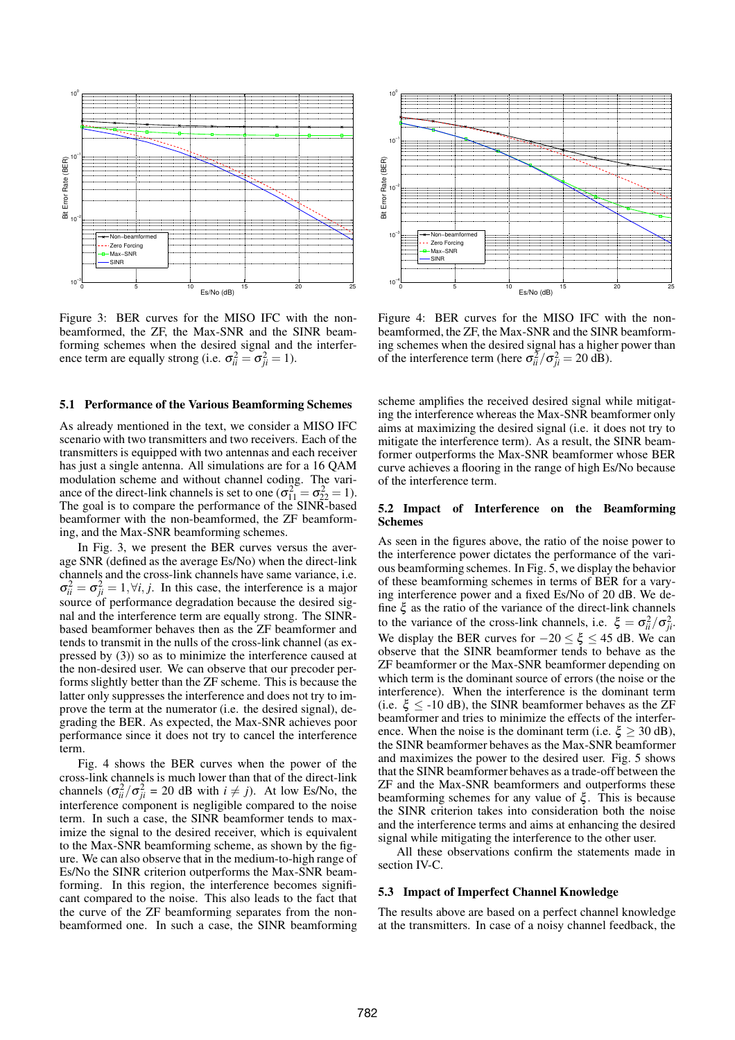

Figure 3: BER curves for the MISO IFC with the nonbeamformed, the ZF, the Max-SNR and the SINR beamforming schemes when the desired signal and the interference term are equally strong (i.e.  $\sigma_{ii}^2 = \sigma_{ji}^2 = 1$ ).

#### **5.1 Performance of the Various Beamforming Schemes**

As already mentioned in the text, we consider a MISO IFC scenario with two transmitters and two receivers. Each of the transmitters is equipped with two antennas and each receiver has just a single antenna. All simulations are for a 16 QAM modulation scheme and without channel coding. The variance of the direct-link channels is set to one  $(\sigma_{11}^2 = \sigma_{22}^2 = 1)$ . The goal is to compare the performance of the SINR-based beamformer with the non-beamformed, the ZF beamforming, and the Max-SNR beamforming schemes.

In Fig. 3, we present the BER curves versus the average SNR (defined as the average Es/No) when the direct-link channels and the cross-link channels have same variance, i.e.  $\sigma_{ii}^2 = \sigma_{ji}^2 = 1, \forall i, j$ . In this case, the interference is a major source of performance degradation because the desired signal and the interference term are equally strong. The SINRbased beamformer behaves then as the ZF beamformer and tends to transmit in the nulls of the cross-link channel (as expressed by (3)) so as to minimize the interference caused at the non-desired user. We can observe that our precoder performs slightly better than the ZF scheme. This is because the latter only suppresses the interference and does not try to improve the term at the numerator (i.e. the desired signal), degrading the BER. As expected, the Max-SNR achieves poor performance since it does not try to cancel the interference term.

Fig. 4 shows the BER curves when the power of the cross-link channels is much lower than that of the direct-link channels  $(\sigma_{ii}^2/\sigma_{ji}^2 = 20 \text{ dB with } i \neq j)$ . At low Es/No, the interference component is negligible compared to the noise term. In such a case, the SINR beamformer tends to maximize the signal to the desired receiver, which is equivalent to the Max-SNR beamforming scheme, as shown by the figure. We can also observe that in the medium-to-high range of Es/No the SINR criterion outperforms the Max-SNR beamforming. In this region, the interference becomes significant compared to the noise. This also leads to the fact that the curve of the ZF beamforming separates from the nonbeamformed one. In such a case, the SINR beamforming



Figure 4: BER curves for the MISO IFC with the nonbeamformed, the ZF, the Max-SNR and the SINR beamforming schemes when the desired signal has a higher power than of the interference term (here  $\sigma_{ii}^2/\sigma_{ji}^2 = 20 \text{ dB}$ ).

scheme amplifies the received desired signal while mitigating the interference whereas the Max-SNR beamformer only aims at maximizing the desired signal (i.e. it does not try to mitigate the interference term). As a result, the SINR beamformer outperforms the Max-SNR beamformer whose BER curve achieves a flooring in the range of high Es/No because of the interference term.

## **5.2 Impact of Interference on the Beamforming Schemes**

As seen in the figures above, the ratio of the noise power to the interference power dictates the performance of the various beamforming schemes. In Fig. 5, we display the behavior of these beamforming schemes in terms of BER for a varying interference power and a fixed Es/No of 20 dB. We define  $\xi$  as the ratio of the variance of the direct-link channels to the variance of the cross-link channels, i.e.  $\xi = \sigma_{ii}^2/\sigma_{ji}^2$ . We display the BER curves for  $-20 \le \xi \le 45$  dB. We can observe that the SINR beamformer tends to behave as the ZF beamformer or the Max-SNR beamformer depending on which term is the dominant source of errors (the noise or the interference). When the interference is the dominant term (i.e.  $\xi \leq -10$  dB), the SINR beamformer behaves as the ZF beamformer and tries to minimize the effects of the interference. When the noise is the dominant term (i.e.  $\xi \ge 30$  dB), the SINR beamformer behaves as the Max-SNR beamformer and maximizes the power to the desired user. Fig. 5 shows that the SINR beamformer behaves as a trade-off between the ZF and the Max-SNR beamformers and outperforms these beamforming schemes for any value of  $\xi$ . This is because the SINR criterion takes into consideration both the noise and the interference terms and aims at enhancing the desired signal while mitigating the interference to the other user.

All these observations confirm the statements made in section IV-C.

#### **5.3 Impact of Imperfect Channel Knowledge**

The results above are based on a perfect channel knowledge at the transmitters. In case of a noisy channel feedback, the